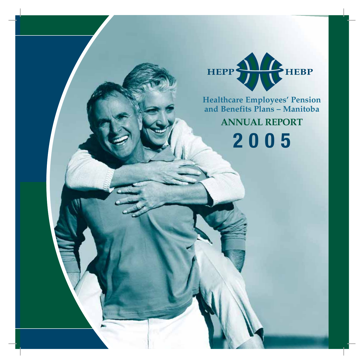

**ANNUAL REPORT 2005 Healthcare Employees' Pension and Benefits Plans – Manitoba**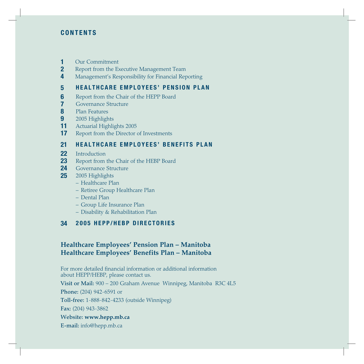# **CONTENTS**

- **1** Our Commitment
- **2** Report from the Executive Management Team
- **4** Management's Responsibility for Financial Reporting

# **5 HEALTHCARE EMPLOYEES' PENSION PLAN**

- **6** Report from the Chair of the HEPP Board
- **7** Governance Structure
- **8** Plan Features<br>**9** 2005 Highligh
- **9** 2005 Highlights
- **11** Actuarial Highlights 2005
- **17** Report from the Director of Investments

# **21 HEALTHCARE EMPLOYEES' BENEFITS PLAN**

- **22** Introduction
- **23** Report from the Chair of the HEBP Board
- 24 Governance Structure
- **25** 2005 Highlights
	- Healthcare Plan
	- Retiree Group Healthcare Plan
	- Dental Plan
	- Group Life Insurance Plan
	- Disability & Rehabilitation Plan

# **34 2005 HEPP/HEBP DIRECTORIES**

# **Healthcare Employees' Pension Plan – Manitoba Healthcare Employees' Benefits Plan – Manitoba**

For more detailed financial information or additional information about HEPP/HEBP, please contact us.

**Visit or Mail:** 900 – 200 Graham Avenue Winnipeg, Manitoba R3C 4L5

**Phone:** (204) 942-6591 or

**Toll-free:** 1-888-842-4233 (outside Winnipeg)

**Fax:** (204) 943-3862

### **Website: www.hepp.mb.ca**

**E-mail:** info@hepp.mb.ca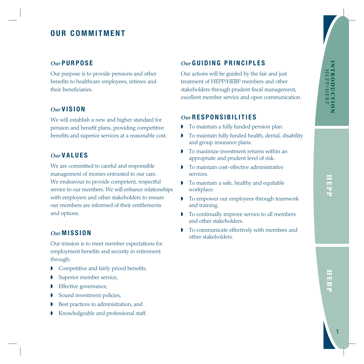# **OUR COMMITMENT**

# *Our* **PURPOSE**

Our purpose is to provide pensions and other benefits to healthcare employees, retirees and their beneficiaries.

# *Our* **VISION**

We will establish a new and higher standard for pension and benefit plans, providing competitive benefits and superior services at a reasonable cost.

# *Our* **VALUES**

We are committed to careful and responsible management of monies entrusted to our care. We endeavour to provide competent, respectful service to our members. We will enhance relationships with employers and other stakeholders to ensure our members are informed of their entitlements and options.

# *Our* **MISSION**

Our mission is to meet member expectations for employment benefits and security in retirement through:

- **■** Competitive and fairly priced benefits,
- Superior member service,
- **Effective governance,**
- ◗ Sound investment policies,
- ◗ Best practices in administration, and
- ◗ Knowledgeable and professional staff.

# *Our* **GUIDING PRINCIPLES**

Our actions will be guided by the fair and just treatment of HEPP/HEBP members and other stakeholders through prudent fiscal management, excellent member service and open communication.

# *Our* **RESPONSIBILITIES**

- ◗ To maintain a fully funded pension plan.
- ◗ To maintain fully funded health, dental, disability and group insurance plans.
- ◗ To maximize investment returns within an appropriate and prudent level of risk.
- ◗ To maintain cost-effective administrative services.
- ◗ To maintain a safe, healthy and equitable workplace.
- ◗ To empower our employees through teamwork and training.
- ◗ To continually improve service to all members and other stakeholders.
- ◗ To communicate effectively with members and other stakeholders.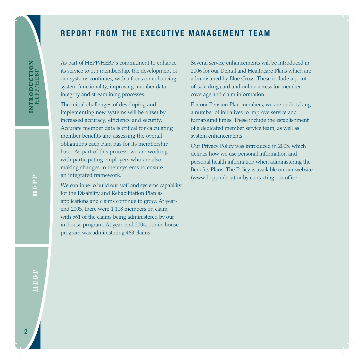# **REPORT FROM THE EXECUTIVE MANAGEMENT TEAM**

As part of HEPP/HEBP's commitment to enhance its service to our membership, the development of our systems continues, with a focus on enhancing system functionality, improving member data integrity and streamlining processes.

The initial challenges of developing and implementing new systems will be offset by increased accuracy, efficiency and security. Accurate member data is critical for calculating member benefits and assessing the overall obligations each Plan has for its membership base. As part of this process, we are working with participating employers who are also making changes to their systems to ensure an integrated framework.

We continue to build our staff and systems capability for the Disability and Rehabilitation Plan as applications and claims continue to grow. At yearend 2005, there were 1,118 members on claim, with 561 of the claims being administered by our in-house program. At year-end 2004, our in-house program was administering 463 claims.

Several service enhancements will be introduced in 2006 for our Dental and Healthcare Plans which are administered by Blue Cross. These include a pointof-sale drug card and online access for member coverage and claim information.

For our Pension Plan members, we are undertaking a number of initiatives to improve service and turnaround times. These include the establishment of a dedicated member service team, as well as system enhancements.

Our Privacy Policy was introduced in 2005, which defines how we use personal information and personal health information when administering the Benefits Plans. The Policy is available on our website (www.hepp.mb.ca) or by contacting our office.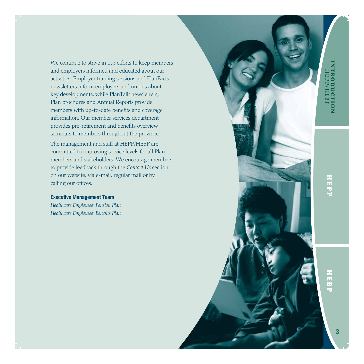We continue to strive in our efforts to keep members and employers informed and educated about our activities. Employer training sessions and PlanFacts newsletters inform employers and unions about key developments, while PlanTalk newsletters, Plan brochures and Annual Reports provide members with up-to-date benefits and coverage information. Our member services department provides pre-retirement and benefits overview seminars to members throughout the province.

The management and staff at HEPP/HEBP are committed to improving service levels for all Plan members and stakeholders. We encourage members to provide feedback through the *Contact Us* section on our website, via e-mail, regular mail or by calling our offices.

### **Executive Management Team**

*Healthcare Employees' Pension Plan Healthcare Employees' Benefits Plan*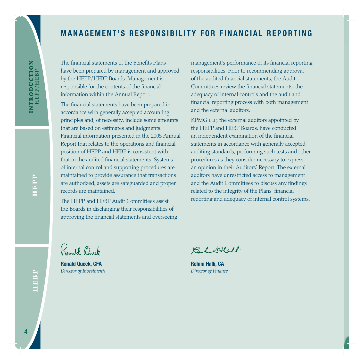# **MANAGEMENT'S RESPONSIBILITY FOR FINANCIAL REPORTING**

The financial statements of the Benefits Plans have been prepared by management and approved by the HEPP / HEBP Boards. Management is responsible for the contents of the financial information within the Annual Report.

The financial statements have been prepared in accordance with generally accepted accounting principles and, of necessity, include some amounts that are based on estimates and judgments. Financial information presented in the 2005 Annual Report that relates to the operations and financial position of HEPP and HEBP is consistent with that in the audited financial statements. Systems of internal control and supporting procedures are maintained to provide assurance that transactions are authorized, assets are safeguarded and proper records are maintained.

The HEPP and HEBP Audit Committees assist the Boards in discharging their responsibilities of approving the financial statements and overseeing management's performance of its financial reporting responsibilities. Prior to recommending approval of the audited financial statements, the Audit Committees review the financial statements, the adequacy of internal controls and the audit and financial reporting process with both management and the external auditors.

KPMG LLP, the external auditors appointed by the HEPP and HEBP Boards, have conducted an independent examination of the financial statements in accordance with generally accepted auditing standards, performing such tests and other procedures as they consider necessary to express an opinion in their Auditors' Report. The external auditors have unrestricted access to management and the Audit Committees to discuss any findings related to the integrity of the Plans' financial reporting and adequacy of internal control systems.

Romald Chuck

**Ronald Queck, CFA**  *Director of Investments*

Calstell.

**Rohini Halli, CA** *Director of Finance*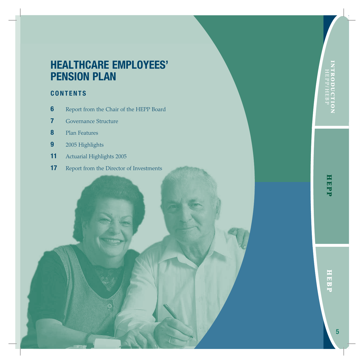# **HEALTHCARE EMPLOYEES' PENSION PLAN**

# **CONTENTS**

- **6** Report from the Chair of the HEPP Board
- **7** Governance Structure
- **8** Plan Features
- **9** 2005 Highlights
- **11** Actuarial Highlights 2005
- **17** Report from the Director of Investments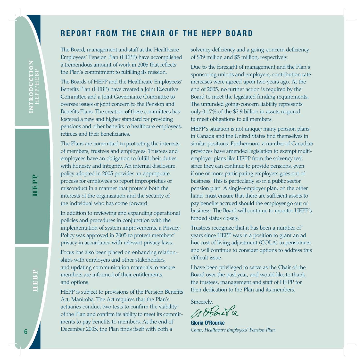# **REPORT FROM THE CHAIR OF THE HEPP BOARD**

The Board, management and staff at the Healthcare Employees' Pension Plan (HEPP) have accomplished a tremendous amount of work in 2005 that reflects the Plan's commitment to fulfilling its mission.

The Boards of HEPP and the Healthcare Employeess' Benefits Plan (HEBP) have created a Joint Executive Committee and a Joint Governance Committee to oversee issues of joint concern to the Pension and Benefits Plans. The creation of these committees has fostered a new and higher standard for providing pensions and other benefits to healthcare employees, retirees and their beneficiaries.

The Plans are committed to protecting the interests of members, trustees and employees. Trustees and employees have an obligation to fulfill their duties with honesty and integrity. An internal disclosure policy adopted in 2005 provides an appropriate process for employees to report improprieties or misconduct in a manner that protects both the interests of the organization and the security of the individual who has come forward.

In addition to reviewing and expanding operational policies and procedures in conjunction with the implementation of system improvements, a Privacy Policy was approved in 2005 to protect members' privacy in accordance with relevant privacy laws.

Focus has also been placed on enhancing relationships with employers and other stakeholders, and updating communication materials to ensure members are informed of their entitlements and options.

HEPP is subject to provisions of the Pension Benefits Act, Manitoba. The Act requires that the Plan's actuaries conduct two tests to confirm the viability of the Plan and confirm its ability to meet its commitments to pay benefits to members. At the end of December 2005, the Plan finds itself with both a

solvency deficiency and a going-concern deficiency of \$39 million and \$5 million, respectively.

Due to the foresight of management and the Plan's sponsoring unions and employers, contribution rate increases were agreed upon two years ago. At the end of 2005, no further action is required by the Board to meet the legislated funding requirements. The unfunded going-concern liability represents only 0.17% of the \$2.9 billion in assets required to meet obligations to all members.

HEPP's situation is not unique; many pension plans in Canada and the United States find themselves in similar positions. Furthermore, a number of Canadian provinces have amended legislation to exempt multiemployer plans like HEPP from the solvency test since they can continue to provide pensions, even if one or more participating employers goes out of business. This is particularly so in a public sector pension plan. A single-employer plan, on the other hand, must ensure that there are sufficient assets to pay benefits accrued should the employer go out of business. The Board will continue to monitor HEPP's funded status closely. For the Plan is convenient to toolk in 2005 that reflects<br>
The tot the foresight of management the Plan is convenience to forefliftely the simulate to forefliftely the measure and employees increases were agreed upon two

Trustees recognize that it has been a number of years since HEPP was in a position to grant an ad hoc cost of living adjustment (COLA) to pensioners, and will continue to consider options to address this difficult issue.

I have been privileged to serve as the Chair of the Board over the past year, and would like to thank the trustees, management and staff of HEPP for their dedication to the Plan and its members.

Sincerely,

**Gloria O'Rourke**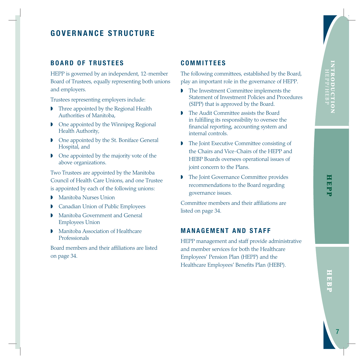# **BOARD OF TRUSTEES**

HEPP is governed by an independent, 12-member Board of Trustees, equally representing both unions and employers.

Trustees representing employers include:

- ◗ Three appointed by the Regional Health Authorities of Manitoba,
- ◗ One appointed by the Winnipeg Regional Health Authority,
- ◗ One appointed by the St. Boniface General Hospital, and
- ◗ One appointed by the majority vote of the above organizations.

Two Trustees are appointed by the Manitoba Council of Health Care Unions, and one Trustee is appointed by each of the following unions:

- ◗ Manitoba Nurses Union
- ◗ Canadian Union of Public Employees
- ◗ Manitoba Government and General Employees Union
- ◗ Manitoba Association of Healthcare Professionals

Board members and their affiliations are listed on page 34.

# **COMMITTEES**

The following committees, established by the Board, play an important role in the governance of HEPP.

- ◗ The Investment Committee implements the Statement of Investment Policies and Procedures (SIPP) that is approved by the Board.
- ◗ The Audit Committee assists the Board in fulfilling its responsibility to oversee the financial reporting, accounting system and internal controls.
- ◗ The Joint Executive Committee consisting of the Chairs and Vice-Chairs of the HEPP and HEBP Boards oversees operational issues of joint concern to the Plans.
- ◗ The Joint Governance Committee provides recommendations to the Board regarding governance issues.

Committee members and their affiliations are listed on page 34.

# **MANAGEMENT AND STAFF**

HEPP management and staff provide administrative and member services for both the Healthcare Employees' Pension Plan (HEPP) and the Healthcare Employees' Benefits Plan (HEBP).

**EDEDI**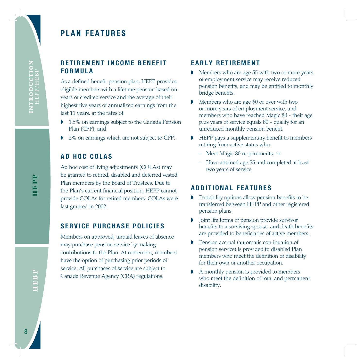# **PLAN FEATURES**

# **RETIREMENT INCOME BENEFIT FORMULA**

As a defined benefit pension plan, HEPP provides eligible members with a lifetime pension based on years of credited service and the average of their highest five years of annualized earnings from the last 11 years, at the rates of:

- ◗ 1.5% on earnings subject to the Canada Pension Plan (CPP), and
- ◗ 2% on earnings which are not subject to CPP.

# **AD HOC COLAS**

Ad hoc cost of living adjustments (COLAs) may be granted to retired, disabled and deferred vested Plan members by the Board of Trustees. Due to the Plan's current financial position, HEPP cannot provide COLAs for retired members. COLAs were last granted in 2002.

# **SERVICE PURCHASE POLICIES**

Members on approved, unpaid leaves of absence may purchase pension service by making contributions to the Plan. At retirement, members have the option of purchasing prior periods of service. All purchases of service are subject to Canada Revenue Agency (CRA) regulations.

# **EARLY RETIREMENT**

- ◗ Members who are age 55 with two or more years of employment service may receive reduced pension benefits, and may be entitled to monthly bridge benefits.
- ◗ Members who are age 60 or over with two or more years of employment service, and members who have reached Magic 80 - their age plus years of service equals 80 - qualify for an unreduced monthly pension benefit.
- ◗ HEPP pays a supplementary benefit to members retiring from active status who:
	- Meet Magic 80 requirements, or
	- Have attained age 55 and completed at least two years of service.

# **ADDITIONAL FEATURES**

- ◗ Portability options allow pension benefits to be transferred between HEPP and other registered pension plans.
- ◗ Joint life forms of pension provide survivor benefits to a surviving spouse, and death benefits are provided to beneficiaries of active members.
- ◗ Pension accrual (automatic continuation of pension service) is provided to disabled Plan members who meet the definition of disability for their own or another occupation.
- ◗ A monthly pension is provided to members who meet the definition of total and permanent disability.

HEPP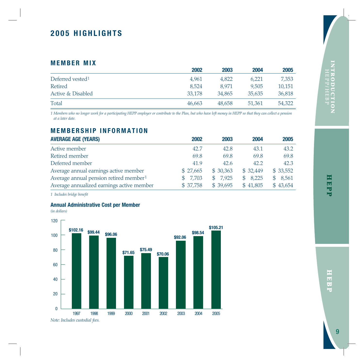# **2005 HIGHLIGHTS**

# **MEMBER MIX**

|                              | 2002   | 2003   | 2004   | 2005   |
|------------------------------|--------|--------|--------|--------|
| Deferred vested <sup>1</sup> | 4.961  | 4,822  | 6.221  | 7,353  |
| Retired                      | 8.524  | 8.971  | 9.505  | 10.151 |
| Active & Disabled            | 33.178 | 34,865 | 35,635 | 36,818 |
| Total                        | 46.663 | 48.658 | 51,361 | 54,322 |

*1 Members who no longer work for a participating HEPP employer or contribute to the Plan, but who have left money in HEPP so that they can collect a pension at a later date.*

# **MEMBERSHIP INFORMATION**

| <b>AVERAGE AGE (YEARS)</b>                         | 2002         | 2003     | 2004        | 2005         |
|----------------------------------------------------|--------------|----------|-------------|--------------|
| Active member                                      | 42.7         | 42.8     | 43.1        | 43.2         |
| Retired member                                     | 69.8         | 69.8     | 69.8        | 69.8         |
| Deferred member                                    | 41.9         | 42.6     | 42.2        | 42.3         |
| Average annual earnings active member              | \$27,665     | \$30,363 | \$32,449    | \$33,552     |
| Average annual pension retired member <sup>1</sup> | 7,703<br>SS. | \$7,925  | 8,225<br>S. | 8,561<br>\$. |
| Average annualized earnings active member          | \$37,758     | \$39,695 | \$41,805    | \$43,654     |

*1 Includes bridge benefit*

### **Annual Administrative Cost per Member**

*(in dollars)*



HEPP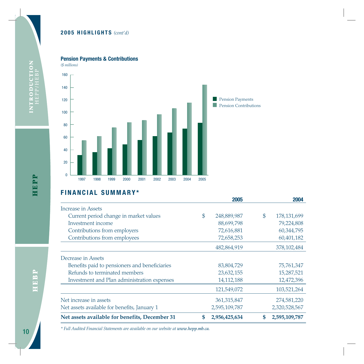### **2005 HIGHLIGHTS** *(cont'd)*



*(\$ millions)* 



# **FINANCIAL SUMMARY\***

|                                                | 2005                | 2004                |
|------------------------------------------------|---------------------|---------------------|
| Increase in Assets                             |                     |                     |
| Current period change in market values         | \$<br>248,889,987   | \$<br>178, 131, 699 |
| Investment income                              | 88,699,798          | 79,224,808          |
| Contributions from employers                   | 72,616,881          | 60,344,795          |
| Contributions from employees                   | 72,658,253          | 60,401,182          |
|                                                | 482,864,919         | 378, 102, 484       |
| Decrease in Assets                             |                     |                     |
| Benefits paid to pensioners and beneficiaries  | 83,804,729          | 75,761,347          |
| Refunds to terminated members                  | 23,632,155          | 15,287,521          |
| Investment and Plan administration expenses    | 14, 112, 188        | 12,472,396          |
|                                                | 121,549,072         | 103,521,264         |
| Net increase in assets                         | 361,315,847         | 274,581,220         |
| Net assets available for benefits, January 1   | 2,595,109,787       | 2,320,528,567       |
| Net assets available for benefits, December 31 | \$<br>2,956,425,634 | \$<br>2,595,109,787 |

*\* Full Audited Financial Statements are available on our website at www.hepp.mb.ca.*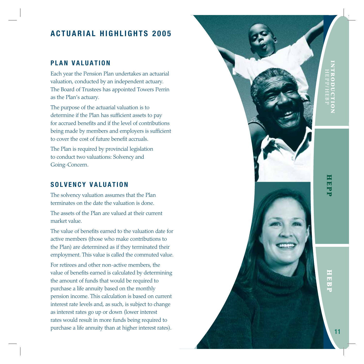# **ACTUARIAL HIGHLIGHTS 2005**

# **PLAN VALUATION**

Each year the Pension Plan undertakes an actuarial valuation, conducted by an independent actuary. The Board of Trustees has appointed Towers Perrin as the Plan's actuary.

The purpose of the actuarial valuation is to determine if the Plan has sufficient assets to pay for accrued benefits and if the level of contributions being made by members and employers is sufficient to cover the cost of future benefit accruals.

The Plan is required by provincial legislation to conduct two valuations: Solvency and Going-Concern.

# **SOLVENCY VALUATION**

The solvency valuation assumes that the Plan terminates on the date the valuation is done.

The assets of the Plan are valued at their current market value.

The value of benefits earned to the valuation date for active members (those who make contributions to the Plan) are determined as if they terminated their employment. This value is called the commuted value.

For retirees and other non-active members, the value of benefits earned is calculated by determining the amount of funds that would be required to purchase a life annuity based on the monthly pension income. This calculation is based on current interest rate levels and, as such, is subject to change as interest rates go up or down (lower interest rates would result in more funds being required to

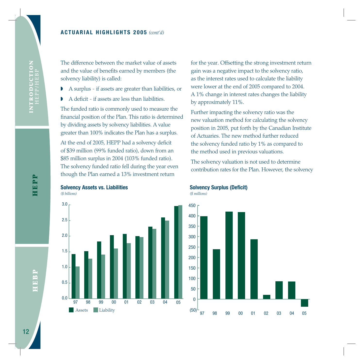The difference between the market value of assets and the value of benefits earned by members (the solvency liability) is called:

- ◗ A surplus if assets are greater than liabilities, or
- ◗ A deficit if assets are less than liabilities.

The funded ratio is commonly used to measure the financial position of the Plan. This ratio is determined by dividing assets by solvency liabilities. A value greater than 100% indicates the Plan has a surplus.

At the end of 2005, HEPP had a solvency deficit of \$39 million (99% funded ratio), down from an \$85 million surplus in 2004 (103% funded ratio). The solvency funded ratio fell during the year even though the Plan earned a 13% investment return

**Solvency Assets vs. Liabilities**  *(\$ billions)* 



for the year. Offsetting the strong investment return gain was a negative impact to the solvency ratio, as the interest rates used to calculate the liability were lower at the end of 2005 compared to 2004. A 1% change in interest rates changes the liability by approximately 11%.

Further impacting the solvency ratio was the new valuation method for calculating the solvency position in 2005, put forth by the Canadian Institute of Actuaries. The new method further reduced the solvency funded ratio by 1% as compared to the method used in previous valuations.

The solvency valuation is not used to determine contribution rates for the Plan. However, the solvency



### **Solvency Surplus (Deficit)**

*(\$ millions)*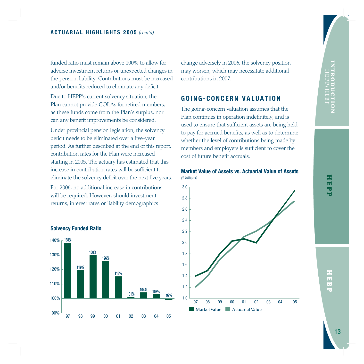funded ratio must remain above 100% to allow for adverse investment returns or unexpected changes in the pension liability. Contributions must be increased and/or benefits reduced to eliminate any deficit.

Due to HEPP's current solvency situation, the Plan cannot provide COLAs for retired members, as these funds come from the Plan's surplus, nor can any benefit improvements be considered.

Under provincial pension legislation, the solvency deficit needs to be eliminated over a five-year period. As further described at the end of this report, contribution rates for the Plan were increased starting in 2005. The actuary has estimated that this increase in contribution rates will be sufficient to eliminate the solvency deficit over the next five years.

For 2006, no additional increase in contributions will be required. However, should investment returns, interest rates or liability demographics



### **Solvency Funded Ratio**

change adversely in 2006, the solvency position may worsen, which may necessitate additional contributions in 2007.

### **GOING-CONCERN VALUATION**

The going-concern valuation assumes that the Plan continues in operation indefinitely, and is used to ensure that sufficient assets are being held to pay for accrued benefits, as well as to determine whether the level of contributions being made by members and employers is sufficient to cover the cost of future benefit accruals.



# **Market Value of Assets vs. Actuarial Value of Assets**

**HEBP**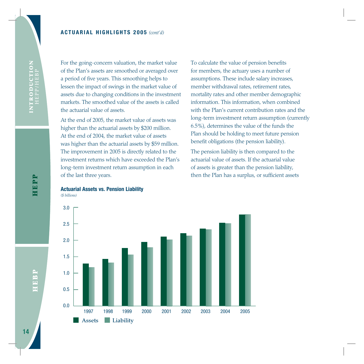For the going-concern valuation, the market value of the Plan's assets are smoothed or averaged over a period of five years. This smoothing helps to lessen the impact of swings in the market value of assets due to changing conditions in the investment markets. The smoothed value of the assets is called the actuarial value of assets.

At the end of 2005, the market value of assets was higher than the actuarial assets by \$200 million. At the end of 2004, the market value of assets was higher than the actuarial assets by \$59 million. The improvement in 2005 is directly related to the investment returns which have exceeded the Plan's long-term investment return assumption in each of the last three years.

To calculate the value of pension benefits for members, the actuary uses a number of assumptions. These include salary increases, member withdrawal rates, retirement rates, mortality rates and other member demographic information. This information, when combined with the Plan's current contribution rates and the long-term investment return assumption (currently 6.5%), determines the value of the funds the Plan should be holding to meet future pension benefit obligations (the pension liability).

The pension liability is then compared to the actuarial value of assets. If the actuarial value of assets is greater than the pension liability, then the Plan has a surplus, or sufficient assets



*(\$ billions)* 

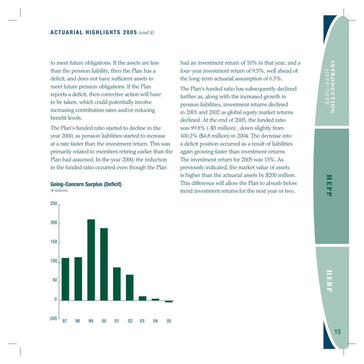to meet future obligations. If the assets are less than the pension liability, then the Plan has a deficit, and does not have sufficient assets to meet future pension obligations. If the Plan reports a deficit, then corrective action will have to be taken, which could potentially involve increasing contribution rates and/or reducing benefit levels.

The Plan's funded ratio started to decline in the year 2000, as pension liabilities started to increase at a rate faster than the investment return. This was primarily related to members retiring earlier than the Plan had assumed. In the year 2000, the reduction in the funded ratio occurred even though the Plan

### **Going-Concern Surplus (Deficit)**

*(\$ millions)*

97 98 99 00 01 02  $\Omega$ 50 100 150 200 250 <sup>(50) L</sup> 97 98 99 00 01 02 03 04 05

had an investment return of 10% in that year, and a four-year investment return of 9.5%, well ahead of the long-term actuarial assumption of 6.5%.

The Plan's funded ratio has subsequently declined further as, along with the increased growth in pension liabilities, investment returns declined in 2001 and 2002 as global equity market returns declined. At the end of 2005, the funded ratio was 99.8% (-\$5 million) , down slightly from 100.2% (\$4.8 million) in 2004. The decrease into a deficit position occurred as a result of liabilities again growing faster than investment returns. The investment return for 2005 was 13%. As previously indicated, the market value of assets is higher than the actuarial assets by \$200 million. This difference will allow the Plan to absorb below trend investment returns for the next year or two.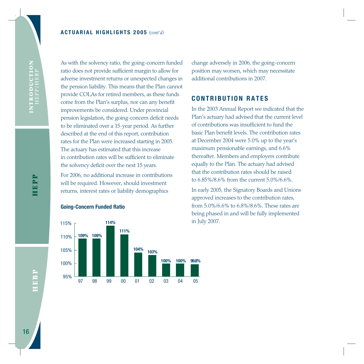As with the solvency ratio, the going-concern funded ratio does not provide sufficient margin to allow for adverse investment returns or unexpected changes in the pension liability. This means that the Plan cannot provide COLAs for retired members, as these funds come from the Plan's surplus, nor can any benefit improvements be considered. Under provincial pension legislation, the going-concern deficit needs to be eliminated over a 15-year period. As further described at the end of this report, contribution rates for the Plan were increased starting in 2005. The actuary has estimated that this increase in contribution rates will be sufficient to eliminate the solvency deficit over the next 15 years.

For 2006, no additional increase in contributions will be required. However, should investment returns, interest rates or liability demographics

### **Going-Concern Funded Ratio**



change adversely in 2006, the going-concern position may worsen, which may necessitate additional contributions in 2007.

## **CONTRIBUTION RATES**

In the 2003 Annual Report we indicated that the Plan's actuary had advised that the current level of contributions was insufficient to fund the basic Plan benefit levels. The contribution rates at December 2004 were 5.0% up to the year's maximum pensionable earnings, and 6.6% thereafter. Members and employers contribute equally to the Plan. The actuary had advised that the contribution rates should be raised to 6.85%/8.6% from the current 5.0%/6.6%.

In early 2005, the Signatory Boards and Unions approved increases to the contribution rates, from 5.0%/6.6% to 6.8%/8.6%. These rates are being phased in and will be fully implemented in July 2007.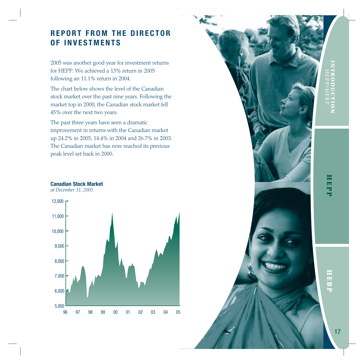# **HEPP I N T R O D U C T I O N HEPP/HEBP**

# **REPORT FROM THE DIRECTOR OF INVESTMENTS**

2005 was another good year for investment returns for HEPP. We achieved a 13% return in 2005 following an 11.1% return in 2004.

The chart below shows the level of the Canadian stock market over the past nine years. Following the market top in 2000, the Canadian stock market fell 45% over the next two years.

The past three years have seen a dramatic improvement in returns with the Canadian market up 24.2% in 2005, 14.4% in 2004 and 26.7% in 2003. The Canadian market has now reached its previous peak level set back in 2000.

### **Canadian Stock Market**

*at December 31, 2005*





17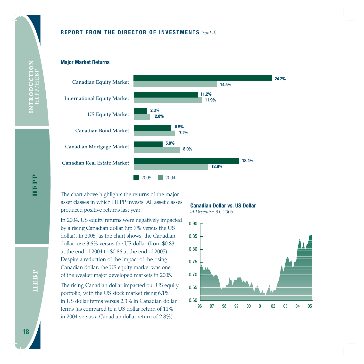### **REPORT FROM THE DIRECTOR OF INVESTMENTS** *(cont'd)*

**Major Market Returns**



The chart above highlights the returns of the major asset classes in which HEPP invests. All asset classes produced positive returns last year.

In 2004, US equity returns were negatively impacted by a rising Canadian dollar (up 7% versus the US dollar). In 2005, as the chart shows, the Canadian dollar rose 3.6% versus the US dollar (from \$0.83 at the end of 2004 to \$0.86 at the end of 2005). Despite a reduction of the impact of the rising Canadian dollar, the US equity market was one of the weaker major developed markets in 2005.

The rising Canadian dollar impacted our US equity portfolio, with the US stock market rising 6.1% in US dollar terms versus 2.3% in Canadian dollar terms (as compared to a US dollar return of 11% in 2004 versus a Canadian dollar return of 2.8%).

**Canadian Dollar vs. US Dollar** *at December 31, 2005*

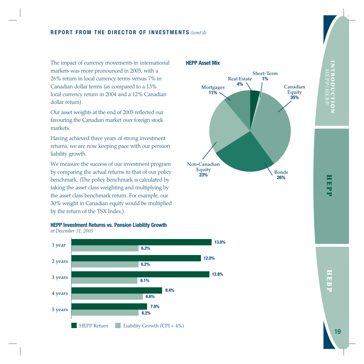The impact of currency movements in international markets was more pronounced in 2005, with a 26% return in local currency terms versus 7% in Canadian dollar terms (as compared to a 13% local currency return in 2004 and a 12% Canadian dollar return).

Our asset weights at the end of 2005 reflected our favouring the Canadian market over foreign stock markets.

Having achieved three years of strong investment returns, we are now keeping pace with our pension liability growth.

We measure the success of our investment program by comparing the actual returns to that of our policy benchmark. (The policy benchmark is calculated by taking the asset class weighting and multiplying by the asset class benchmark return. For example, our 30% weight in Canadian equity would be multiplied by the return of the TSX Index.)

## **HEPP Investment Returns vs. Pension Liability Growth**

*at December 31, 2005*



### **HEPP Asset Mix**

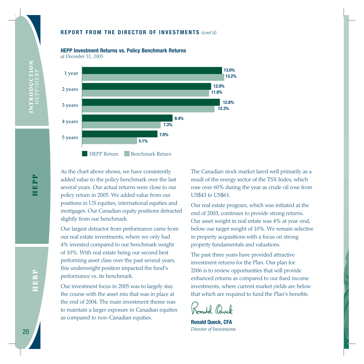### **REPORT FROM THE DIRECTOR OF INVESTMENTS** *(cont'd)*

**HEPP Investment Returns vs. Policy Benchmark Returns** 

*at December 31, 2005*



As the chart above shows, we have consistently added value to the policy benchmark over the last several years. Our actual returns were close to our policy return in 2005. We added value from our positions in US equities, international equities and mortgages. Our Canadian equity positions detracted slightly from our benchmark.

Our largest detractor from performance came from our real estate investments, where we only had 4% invested compared to our benchmark weight of 10%. With real estate being our second best performing asset class over the past several years, this underweight position impacted the fund's performance vs. its benchmark.

Our investment focus in 2005 was to largely stay the course with the asset mix that was in place at the end of 2004. The main investment theme was to maintain a larger exposure in Canadian equities as compared to non-Canadian equities.

The Canadian stock market fared well primarily as a result of the energy sector of the TSX Index, which rose over 60% during the year as crude oil rose from US\$43 to US\$61.

Our real estate program, which was initiated at the end of 2003, continues to provide strong returns. Our asset weight in real estate was 4% at year-end, below our target weight of 10%. We remain selective in property acquisitions with a focus on strong property fundamentals and valuations.

The past three years have provided attractive investment returns for the Plan. Our plan for 2006 is to review opportunities that will provide enhanced returns as compared to our fixed income investments, where current market yields are below that which are required to fund the Plan's benefits.

Id (Auck

**Ronald Queck, CFA** *Director of Investments*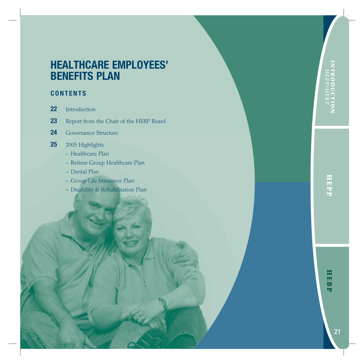# **HEPP I N T R O D U C T I O N HEPP/HEBP**

# **CONTENTS**

- **22** Introduction
- **23** Report from the Chair of the HEBP Board
- **24** Governance Structure

# **25** 2005 Highlights

- Healthcare Plan
- Retiree Group Healthcare Plan
- Dental Plan
- Group Life Insurance Plan
- Disability & Rehabilitation Plan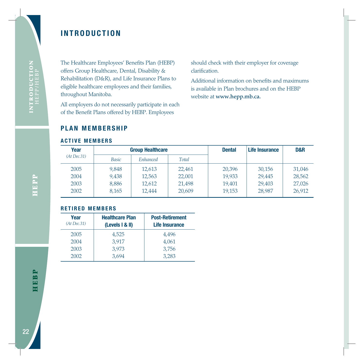# **INTRODUCTION**

The Healthcare Employees' Benefits Plan (HEBP) offers Group Healthcare, Dental, Disability & Rehabilitation (D&R), and Life Insurance Plans to eligible healthcare employees and their families, throughout Manitoba.

All employers do not necessarily participate in each of the Benefit Plans offered by HEBP. Employees

should check with their employer for coverage clarification.

Additional information on benefits and maximums is available in Plan brochures and on the HEBP website at **www.hepp.mb.ca.**

# **PLAN MEMBERSHIP**

### **ACTIVE MEMBERS**

| Year         |              | <b>Group Healthcare</b> |        | <b>Dental</b> | Life Insurance | D&R    |
|--------------|--------------|-------------------------|--------|---------------|----------------|--------|
| (At Dec. 31) | <b>Basic</b> | Enhanced                | Total  |               |                |        |
| 2005         | 9,848        | 12,613                  | 22.461 | 20,396        | 30,156         | 31,046 |
| 2004         | 9,438        | 12,563                  | 22,001 | 19,933        | 29,445         | 28,562 |
| 2003         | 8,886        | 12,612                  | 21,498 | 19.401        | 29,403         | 27,026 |
| 2002         | 8,165        | 12,444                  | 20,609 | 19,153        | 28,987         | 26.912 |

### **RETIRED MEMBERS**

| Year<br>(At Dec.31) | <b>Healthcare Plan</b><br>(Levels 1 & 1) | <b>Post-Retirement</b><br>Life Insurance |
|---------------------|------------------------------------------|------------------------------------------|
| 2005                | 4,525                                    | 4,496                                    |
| 2004                | 3.917                                    | 4,061                                    |
| 2003                | 3,973                                    | 3,756                                    |
| 2002                | 3.694                                    | 3.283                                    |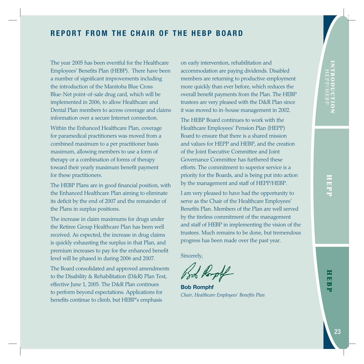# **REPORT FROM THE CHAIR OF THE HEBP BOARD**

The year 2005 has been eventful for the Healthcare Employees' Benefits Plan (HEBP). There have been a number of significant improvements including the introduction of the Manitoba Blue Cross Blue-Net point-of-sale drug card, which will be implemented in 2006, to allow Healthcare and Dental Plan members to access coverage and claims information over a secure Internet connection.

Within the Enhanced Healthcare Plan, coverage for paramedical practitioners was moved from a combined maximum to a per practitioner basis maximum, allowing members to use a form of therapy or a combination of forms of therapy toward their yearly maximum benefit payment for these practitioners.

The HEBP Plans are in good financial position, with the Enhanced Healthcare Plan aiming to eliminate its deficit by the end of 2007 and the remainder of the Plans in surplus positions.

The increase in claim maximums for drugs under the Retiree Group Healthcare Plan has been well received. As expected, the increase in drug claims is quickly exhausting the surplus in that Plan, and premium increases to pay for the enhanced benefit level will be phased in during 2006 and 2007.

The Board consolidated and approved amendments to the Disability & Rehabilitation (D&R) Plan Text, effective June 1, 2005. The D&R Plan continues to perform beyond expectations. Applications for benefits continue to climb, but HEBP's emphasis

on early intervention, rehabilitation and accommodation are paying dividends. Disabled members are returning to productive employment more quickly than ever before, which reduces the overall benefit payments from the Plan. The HEBP trustees are very pleased with the D&R Plan since it was moved to in-house management in 2002.

The HEBP Board continues to work with the Healthcare Employees' Pension Plan (HEPP) Board to ensure that there is a shared mission and values for HEPP and HEBP, and the creation of the Joint Executive Committee and Joint Governance Committee has furthered these efforts. The commitment to superior service is a priority for the Boards, and is being put into action by the management and staff of HEPP/HEBP.

I am very pleased to have had the opportunity to serve as the Chair of the Healthcare Employees' Benefits Plan. Members of the Plan are well served by the tireless commitment of the management and staff of HEBP in implementing the vision of the trustees. Much remains to be done, but tremendous progress has been made over the past year.

Sincerely,

**Bob Romphf** *Chair, Healthcare Employees' Benefits Plan*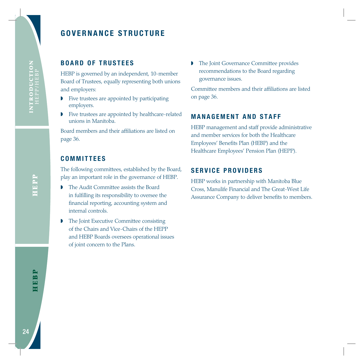# **GOVERNANCE STRUCTURE**

# **BOARD OF TRUSTEES**

HEBP is governed by an independent, 10-member Board of Trustees, equally representing both unions and employers:

- ◗ Five trustees are appointed by participating employers.
- ◗ Five trustees are appointed by healthcare-related unions in Manitoba.

Board members and their affiliations are listed on page 36.

# **COMMITTEES**

The following committees, established by the Board, play an important role in the governance of HEBP.

- **The Audit Committee assists the Board** in fulfilling its responsibility to oversee the financial reporting, accounting system and internal controls.
- ◗ The Joint Executive Committee consisting of the Chairs and Vice-Chairs of the HEPP and HEBP Boards oversees operational issues of joint concern to the Plans.

◗ The Joint Governance Committee provides recommendations to the Board regarding governance issues.

Committee members and their affiliations are listed on page 36.

# **MANAGEMENT AND STAFF**

HEBP management and staff provide administrative and member services for both the Healthcare Employees' Benefits Plan (HEBP) and the Healthcare Employees' Pension Plan (HEPP).

# **SERVICE PROVIDERS**

HEBP works in partnership with Manitoba Blue Cross, Manulife Financial and The Great-West Life Assurance Company to deliver benefits to members.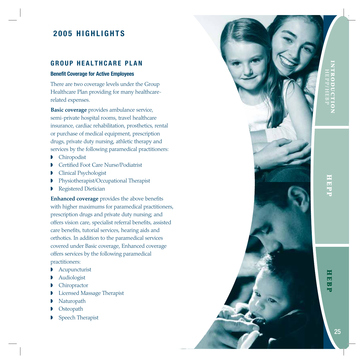# **2005 HIGHLIGHTS**

# **GROUP HEALTHCARE PLAN**

### **Benefit Coverage for Active Employees**

There are two coverage levels under the Group Healthcare Plan providing for many healthcarerelated expenses.

**Basic coverage** provides ambulance service, semi-private hospital rooms, travel healthcare insurance, cardiac rehabilitation, prosthetics, rental or purchase of medical equipment, prescription drugs, private duty nursing, athletic therapy and services by the following paramedical practitioners:

- ◗ Chiropodist
- ◗ Certified Foot Care Nurse/Podiatrist
- ◗ Clinical Psychologist
- ◗ Physiotherapist/Occupational Therapist
- ◗ Registered Dietician

**Enhanced coverage** provides the above benefits with higher maximums for paramedical practitioners, prescription drugs and private duty nursing; and offers vision care, specialist referral benefits, assisted care benefits, tutorial services, hearing aids and orthotics. In addition to the paramedical services covered under Basic coverage, Enhanced coverage offers services by the following paramedical practitioners:

- **Acupuncturist**
- ◗ Audiologist
- **Chiropractor**
- ◗ Licensed Massage Therapist
- **Naturopath**
- **Osteopath**
- **Speech Therapist**

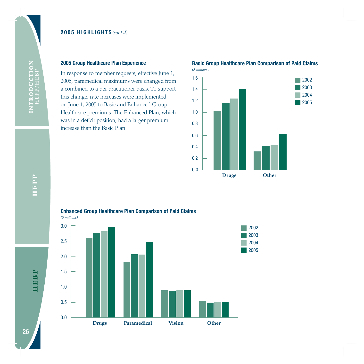In response to member requests, effective June 1, 2005, paramedical maximums were changed from a combined to a per practitioner basis. To support this change, rate increases were implemented on June 1, 2005 to Basic and Enhanced Group Healthcare premiums. The Enhanced Plan, which was in a deficit position, had a larger premium increase than the Basic Plan.



# **Basic Group Healthcare Plan Comparison of Paid Claims**



INTRODUCTION<br>HEPP/HEBP



**Enhanced Group Healthcare Plan Comparison of Paid Claims**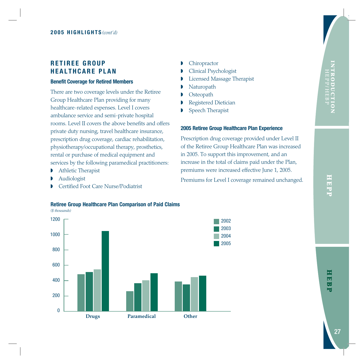# **RETIREE GROUP HEALTHCARE PLAN**

### **Benefit Coverage for Retired Members**

There are two coverage levels under the Retiree Group Healthcare Plan providing for many healthcare-related expenses. Level I covers ambulance service and semi-private hospital rooms. Level II covers the above benefits and offers private duty nursing, travel healthcare insurance, prescription drug coverage, cardiac rehabilitation, physiotherapy/occupational therapy, prosthetics, rental or purchase of medical equipment and services by the following paramedical practitioners:

- **•** Athletic Therapist
- ◗ Audiologist
- ◗ Certified Foot Care Nurse/Podiatrist
- Chiropractor
- ◗ Clinical Psychologist
- ◗ Licensed Massage Therapist
- **Naturopath**
- **Osteopath**
- ◗ Registered Dietician
- ◗ Speech Therapist

### **2005 Retiree Group Healthcare Plan Experience**

Prescription drug coverage provided under Level II of the Retiree Group Healthcare Plan was increased in 2005. To support this improvement, and an increase in the total of claims paid under the Plan, premiums were increased effective June 1, 2005.

Premiums for Level I coverage remained unchanged.

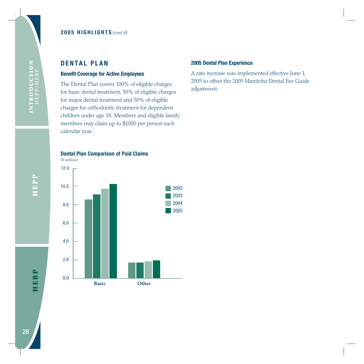# **DENTAL PLAN**

### **Benefit Coverage for Active Employees**

The Dental Plan covers 100% of eligible charges for basic dental treatment, 50% of eligible charges for major dental treatment and 50% of eligible charges for orthodontic treatment for dependent children under age 18. Members and eligible family members may claim up to \$1000 per person each calendar year.

### **2005 Dental Plan Experience**

A rate increase was implemented effective June 1, 2005 to offset the 2005 Manitoba Dental Fee Guide adjustment.





**HEPP I N T R O D U C T I O N HEPP/HEBP** HEPP

INTRODUCTION<br>HEPP/HEBP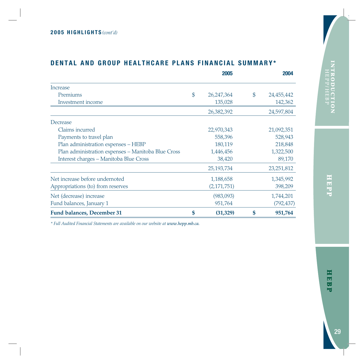|                                                    | 2005               | 2004             |
|----------------------------------------------------|--------------------|------------------|
| Increase                                           |                    |                  |
| Premiums                                           | \$<br>26, 247, 364 | \$<br>24,455,442 |
| Investment income                                  | 135,028            | 142,362          |
|                                                    | 26,382,392         | 24,597,804       |
| Decrease                                           |                    |                  |
| Claims incurred                                    | 22,970,343         | 21,092,351       |
| Payments to travel plan                            | 558,396            | 528,943          |
| Plan administration expenses - HEBP                | 180,119            | 218,848          |
| Plan administration expenses - Manitoba Blue Cross | 1,446,456          | 1,322,500        |
| Interest charges - Manitoba Blue Cross             | 38,420             | 89,170           |
|                                                    | 25, 193, 734       | 23, 251, 812     |
| Net increase before undernoted                     | 1,188,658          | 1,345,992        |
| Appropriations (to) from reserves                  | (2, 171, 751)      | 398,209          |
| Net (decrease) increase                            | (983,093)          | 1,744,201        |
| Fund balances, January 1                           | 951,764            | (792,437)        |
| <b>Fund balances, December 31</b>                  | \$<br>(31, 329)    | \$<br>951,764    |

# **DENTAL AND GROUP HEALTHCARE PLANS FINANCIAL SUMMARY\***

*\* Full Audited Financial Statements are available on our website at www.hepp.mb.ca.*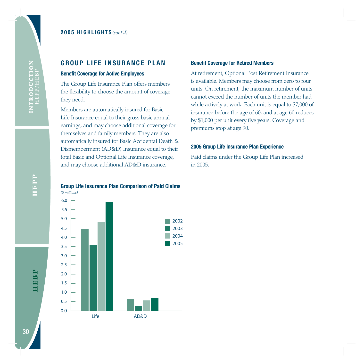# **GROUP LIFE INSURANCE PLAN**

### **Benefit Coverage for Active Employees**

The Group Life Insurance Plan offers members the flexibility to choose the amount of coverage they need.

Members are automatically insured for Basic Life Insurance equal to their gross basic annual earnings, and may choose additional coverage for themselves and family members. They are also automatically insured for Basic Accidental Death & Dismemberment (AD&D) Insurance equal to their total Basic and Optional Life Insurance coverage, and may choose additional AD&D insurance.

### **Benefit Coverage for Retired Members**

At retirement, Optional Post Retirement Insurance is available. Members may choose from zero to four units. On retirement, the maximum number of units cannot exceed the number of units the member had while actively at work. Each unit is equal to \$7,000 of insurance before the age of 60, and at age 60 reduces by \$1,000 per unit every five years. Coverage and premiums stop at age 90.

### **2005 Group Life Insurance Plan Experience**

Paid claims under the Group Life Plan increased in 2005.

### **Group Life Insurance Plan Comparison of Paid Claims** *(\$ millions)*



HEPP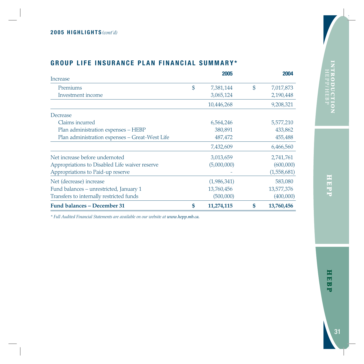# **GROUP LIFE INSURANCE PLAN FINANCIAL SUMMARY\***

| Increase                                       | 2005             | 2004             |
|------------------------------------------------|------------------|------------------|
| Premiums                                       | \$<br>7,381,144  | \$<br>7,017,873  |
| Investment income                              | 3,065,124        | 2,190,448        |
|                                                | 10,446,268       | 9,208,321        |
| Decrease                                       |                  |                  |
| Claims incurred                                | 6,564,246        | 5,577,210        |
| Plan administration expenses - HEBP            | 380,891          | 433,862          |
| Plan administration expenses - Great-West Life | 487,472          | 455,488          |
|                                                | 7,432,609        | 6,466,560        |
| Net increase before undernoted                 | 3,013,659        | 2,741,761        |
| Appropriations to Disabled Life waiver reserve | (5,000,000)      | (600,000)        |
| Appropriations to Paid-up reserve              |                  | (1,558,681)      |
| Net (decrease) increase                        | (1,986,341)      | 583,080          |
| Fund balances - unrestricted, January 1        | 13,760,456       | 13,577,376       |
| Transfers to internally restricted funds       | (500,000)        | (400,000)        |
| Fund balances - December 31                    | \$<br>11,274,115 | \$<br>13,760,456 |

*\* Full Audited Financial Statements are available on our website at www.hepp.mb.ca.*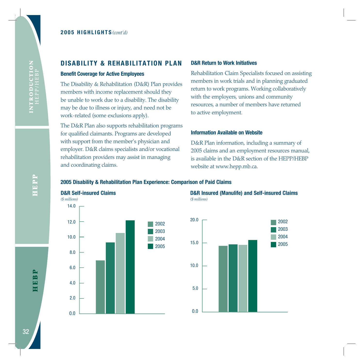### **Benefit Coverage for Active Employees**

The Disability & Rehabilitation (D&R) Plan provides members with income replacement should they be unable to work due to a disability. The disability may be due to illness or injury, and need not be work-related (some exclusions apply).

The D&R Plan also supports rehabilitation programs for qualified claimants. Programs are developed with support from the member's physician and employer. D&R claims specialists and/or vocational rehabilitation providers may assist in managing and coordinating claims.

### **D&R Return to Work Initiatives**

Rehabilitation Claim Specialists focused on assisting members in work trials and in planning graduated return to work programs. Working collaboratively with the employers, unions and community resources, a number of members have returned to active employment.

### **Information Available on Website**

D&R Plan information, including a summary of 2005 claims and an employment resources manual, is available in the D&R section of the HEPP/HEBP website at www.hepp.mb.ca.

### **2005 Disability & Rehabilitation Plan Experience: Comparison of Paid Claims**





**D&R Insured (Manulife) and Self-insured Claims** *(\$ millions)* 

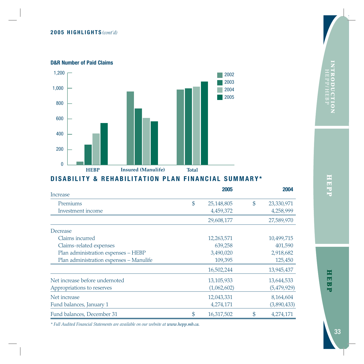### **D&R Number of Paid Claims**



# **DISABILITY & REHABILITATION PLAN FINANCIAL SUMMARY\***

|                                         | 2005             | 2004             |
|-----------------------------------------|------------------|------------------|
| Increase                                |                  |                  |
| Premiums                                | \$<br>25,148,805 | \$<br>23,330,971 |
| Investment income                       | 4,459,372        | 4,258,999        |
|                                         | 29,608,177       | 27,589,970       |
| Decrease                                |                  |                  |
| Claims incurred                         | 12,263,571       | 10,499,715       |
| Claims-related expenses                 | 639,258          | 401,590          |
| Plan administration expenses - HEBP     | 3,490,020        | 2,918,682        |
| Plan administration expenses - Manulife | 109,395          | 125,450          |
|                                         | 16,502,244       | 13,945,437       |
| Net increase before undernoted          | 13,105,933       | 13,644,533       |
| Appropriations to reserves              | (1,062,602)      | (5,479,929)      |
| Net increase                            | 12,043,331       | 8,164,604        |
| Fund balances, January 1                | 4,274,171        | (3,890,433)      |
| Fund balances, December 31              | \$<br>16,317,502 | \$<br>4,274,171  |

*\* Full Audited Financial Statements are available on our website at www.hepp.mb.ca.*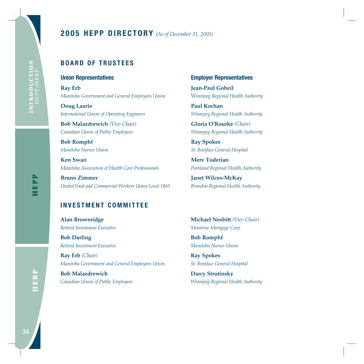# **2005 HEPP DIRECTORY** *(As of December 31, 2005)*

# **BOARD OF TRUSTEES**

### **Union Representatives**

**Ray Erb** *Manitoba Government and General Employees Union*

**Doug Laurie** *International Union of Operating Engineers*

**Bob Malazdrewich** *(Vice-Chair) Canadian Union of Public Employees*

**Bob Romphf** *Manitoba Nurses Union*

**Ken Swan** *Manitoba Association of Health Care Professionals*

**Bruno Zimmer** *United Food and Commercial Workers Union Local 1869*

### **Employer Representatives**

**Jean-Paul Gobeil** W*innipeg Regional Health Authority*

**Paul Kochan** *Winnipeg Regional Health Authority*

**Gloria O'Rourke** *(Chair) Winnipeg Regional Health Authority*

**Ray Spokes** *St. Boniface General Hospital*

**Merv Toderian** *Parkland Regional Health Authority*

**Janet Wilcox-McKay**  *Brandon Regional Health Authority*

# **INVESTMENT COMMITTEE**

**Alan Brownridge** *Retired Investment Executive*

**Bob Darling** *Retired Investment Executive*

**Ray Erb** *(Chair) Manitoba Government and General Employees Union*

**Bob Malazdrewich** *Canadian Union of Public Employees* **Michael Nesbitt** *(Vice-Chair) Montrose Mortgage Corp.*

**Bob Romphf** *Manitoba Nurses Union*

**Ray Spokes** *St. Boniface General Hospital*

**Darcy Strutinsky** *Winnipeg Regional Health Authority*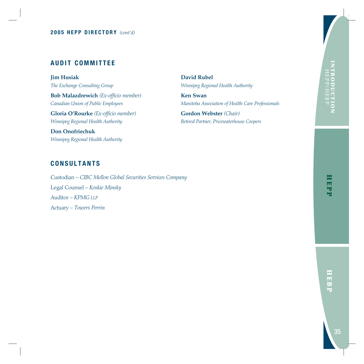# **AUDIT COMMITTEE**

**Jim Husiak** *The Exchange Consulting Group*

**Bob Malazdrewich** *(Ex-officio member) Canadian Union of Public Employees* 

**Gloria O'Rourke** *(Ex-officio member) Winnipeg Regional Health Authority*

**Don Onofriechuk** *Winnipeg Regional Health Authority* **David Rubel** *Winnipeg Regional Health Authority*

**Ken Swan** *Manitoba Association of Health Care Professionals*

**Gordon Webster** *(Chair) Retired Partner, Pricewaterhouse Coopers*

# **CONSULTANTS**

Custodian – *CIBC Mellon Global Securities Services Company* Legal Counsel – *Koskie Minsky* Auditor – *KPMG LLP* Actuary – *Towers Perrin*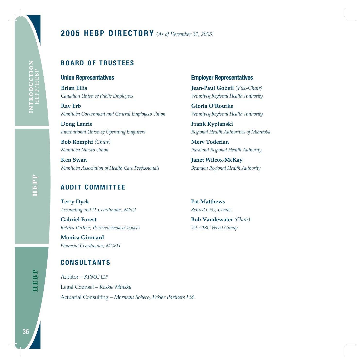# **2005 HEBP DIRECTORY** *(As of December 31, 2005)*

# **BOARD OF TRUSTEES**

### **Union Representatives**

**Brian Ellis** *Canadian Union of Public Employees*

**Ray Erb** *Manitoba Government and General Employees Union*

**Doug Laurie** *International Union of Operating Engineers*

**Bob Romphf** *(Chair) Manitoba Nurses Union*

**Ken Swan** *Manitoba Association of Health Care Professionals*

# **AUDIT COMMITTEE**

**Terry Dyck** *Accounting and IT Coordinator, MNU*

**Gabriel Forest** *Retired Partner, PricewaterhouseCoopers*

**Monica Girouard** *Financial Coordinator, MGEU*

# **CONSULTANTS**

Auditor – *KPMG LLP* Legal Counsel – *Koskie Minsky* Actuarial Consulting – *Morneau Sobeco, Eckler Partners Ltd.*

### **Employer Representatives**

**Jean-Paul Gobeil** *(Vice-Chair) Winnipeg Regional Health Authority*

**Gloria O'Rourke** *Winnipeg Regional Health Authority*

**Frank Ryplanski** *Regional Health Authorities of Manitoba*

**Merv Toderian** *Parkland Regional Health Authority*

**Janet Wilcox-McKay**  *Brandon Regional Health Authority*

**Pat Matthews** *Retired CFO, Gendis*

**Bob Vandewater** *(Chair) VP, CIBC Wood Gundy*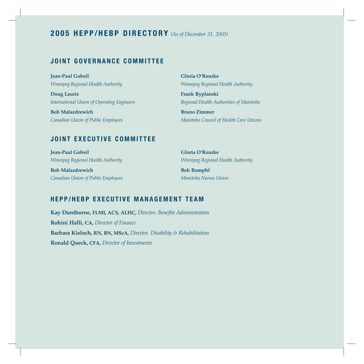# **2005 HEPP/HEBP DIRECTORY** *(As of December 31, 2005)*

# **JOINT GOVERNANCE COMMITTEE**

**Jean-Paul Gobeil** *Winnipeg Regional Health Authority*

**Doug Laurie** *International Union of Operating Engineers*

**Bob Malazdrewich** *Canadian Union of Public Employees* **Gloria O'Rourke** *Winnipeg Regional Health Authority*

**Frank Ryplanski** *Regional Health Authorities of Manitoba*

**Bruno Zimmer** *Manitoba Council of Health Care Unions*

# **JOINT EXECUTIVE COMMITTEE**

**Jean-Paul Gobeil** *Winnipeg Regional Health Authority*

**Bob Malazdrewich** *Canadian Union of Public Employees* **Gloria O'Rourke** *Winnipeg Regional Health Authority*

**Bob Romphf** *Manitoba Nurses Union*

# **HEPP/HEBP EXECUTIVE MANAGEMENT TEAM**

**Kay Dunthorne, FLMI, ACS, ALHC,** *Director, Benefits Administration* **Rohini Halli, CA,** *Director of Finance* **Barbara Kieloch, RN, BN, MScA,** *Director, Disability & Rehabilitation* **Ronald Queck, CFA,** *Director of Investments*